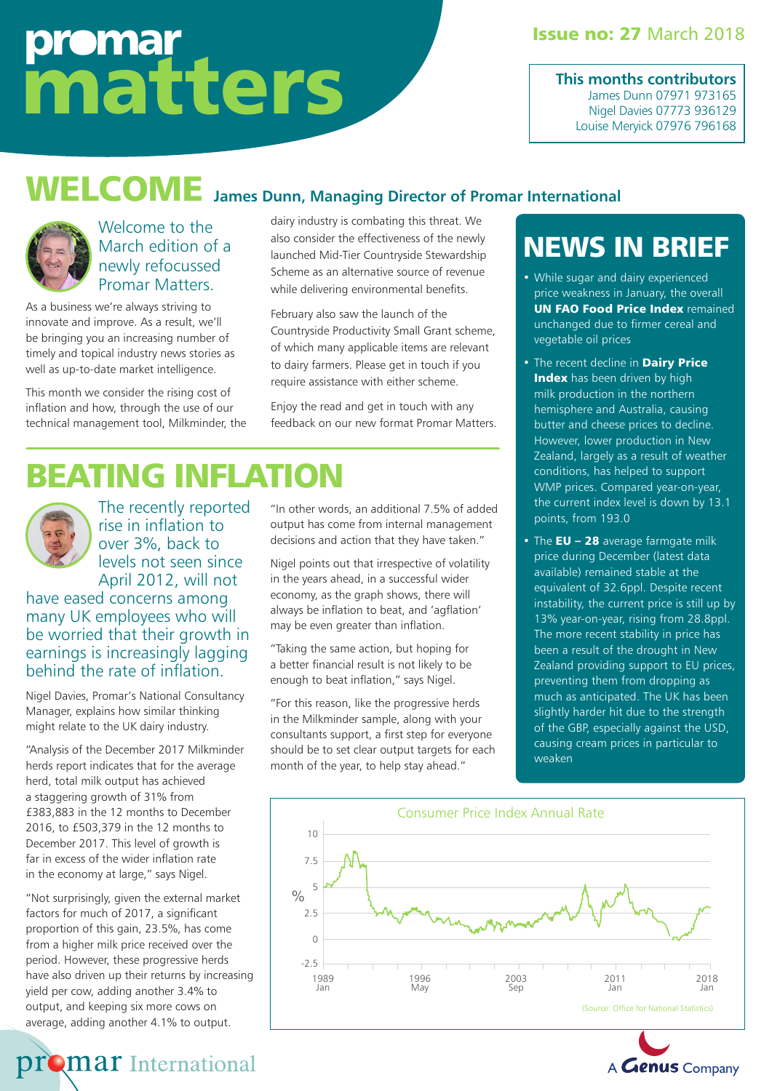# promar matters

#### **Issue no: 27 March 2018**

**This months contributors** James Dunn 07971 973165 Nigel Davies 07773 936129 Louise Meryick 07976 796168

## WELCOME **James Dunn, Managing Director of Promar International**



Welcome to the March edition of a newly refocussed Promar Matters.

As a business we're always striving to innovate and improve. As a result, we'll be bringing you an increasing number of timely and topical industry news stories as well as up-to-date market intelligence.

This month we consider the rising cost of inflation and how, through the use of our technical management tool, Milkminder, the dairy industry is combating this threat. We also consider the effectiveness of the newly launched Mid-Tier Countryside Stewardship Scheme as an alternative source of revenue while delivering environmental benefits.

February also saw the launch of the Countryside Productivity Small Grant scheme, of which many applicable items are relevant to dairy farmers. Please get in touch if you require assistance with either scheme.

Enjoy the read and get in touch with any feedback on our new format Promar Matters.

# BEATING INFLATION



The recently reported rise in inflation to over 3%, back to levels not seen since April 2012, will not

have eased concerns among many UK employees who will be worried that their growth in earnings is increasingly lagging behind the rate of inflation.

Nigel Davies, Promar's National Consultancy Manager, explains how similar thinking might relate to the UK dairy industry.

"Analysis of the December 2017 Milkminder herds report indicates that for the average herd, total milk output has achieved a staggering growth of 31% from £383,883 in the 12 months to December 2016, to £503,379 in the 12 months to December 2017. This level of growth is far in excess of the wider inflation rate in the economy at large," says Nigel.

"Not surprisingly, given the external market factors for much of 2017, a significant proportion of this gain, 23.5%, has come from a higher milk price received over the period. However, these progressive herds have also driven up their returns by increasing yield per cow, adding another 3.4% to output, and keeping six more cows on average, adding another 4.1% to output.

**promar** International

"In other words, an additional 7.5% of added output has come from internal management

Nigel points out that irrespective of volatility in the years ahead, in a successful wider economy, as the graph shows, there will always be inflation to beat, and 'agflation' may be even greater than inflation.

decisions and action that they have taken."

"Taking the same action, but hoping for a better financial result is not likely to be enough to beat inflation," says Nigel.

"For this reason, like the progressive herds in the Milkminder sample, along with your consultants support, a first step for everyone should be to set clear output targets for each month of the year, to help stay ahead."

### NEWS IN BRIEF

- While sugar and dairy experienced price weakness in January, the overall **UN FAO Food Price Index remained** unchanged due to firmer cereal and vegetable oil prices
- The recent decline in Dairy Price Index has been driven by high milk production in the northern hemisphere and Australia, causing butter and cheese prices to decline. However, lower production in New Zealand, largely as a result of weather conditions, has helped to support WMP prices. Compared year-on-year, the current index level is down by 13.1 points, from 193.0
- The  $EU 28$  average farmgate milk price during December (latest data available) remained stable at the equivalent of 32.6ppl. Despite recent instability, the current price is still up by 13% year-on-year, rising from 28.8ppl. The more recent stability in price has been a result of the drought in New Zealand providing support to EU prices, preventing them from dropping as much as anticipated. The UK has been slightly harder hit due to the strength of the GBP, especially against the USD, causing cream prices in particular to weaken